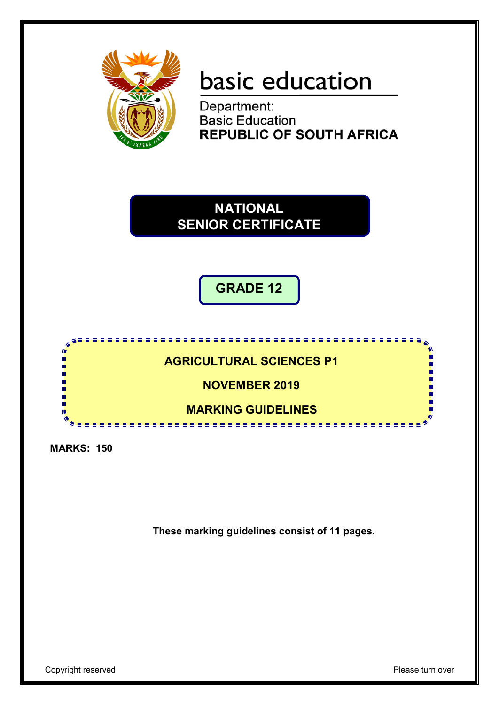

# basic education

Department: **Basic Education REPUBLIC OF SOUTH AFRICA** 

**NATIONAL SENIOR CERTIFICATE**

**GRADE 12**



**MARKS: 150**

**These marking guidelines consist of 11 pages.**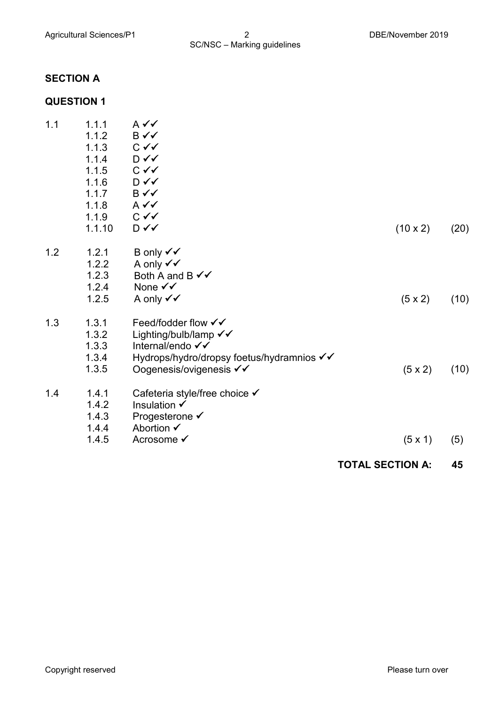#### **SECTION A**

#### **QUESTION 1**

| 1.1 | 1.1.1  | A ✔✔                                      |                 |      |
|-----|--------|-------------------------------------------|-----------------|------|
|     | 1.1.2  | B✓✓                                       |                 |      |
|     | 1.1.3  | $C \vee C$                                |                 |      |
|     | 1.1.4  | D√√                                       |                 |      |
|     | 1.1.5  | $C \curvearrowleft$                       |                 |      |
|     | 1.1.6  | $D \checkmark$                            |                 |      |
|     | 1.1.7  | B✓✓                                       |                 |      |
|     | 1.1.8  | $A \vee C$                                |                 |      |
|     | 1.1.9  | $C \vee C$                                |                 |      |
|     | 1.1.10 | D√√                                       | $(10 \times 2)$ | (20) |
| 1.2 | 1.2.1  | B only $\checkmark\checkmark$             |                 |      |
|     | 1.2.2  | A only √√                                 |                 |      |
|     | 1.2.3  | Both A and B $\checkmark\checkmark$       |                 |      |
|     | 1.2.4  | None $\checkmark\checkmark$               |                 |      |
|     | 1.2.5  | A only √√                                 | $(5 \times 2)$  | (10) |
| 1.3 | 1.3.1  | Feed/fodder flow √√                       |                 |      |
|     | 1.3.2  | Lighting/bulb/lamp √√                     |                 |      |
|     | 1.3.3  | Internal/endo √√                          |                 |      |
|     | 1.3.4  | Hydrops/hydro/dropsy foetus/hydramnios √√ |                 |      |
|     | 1.3.5  | Oogenesis/ovigenesis √√                   | $(5 \times 2)$  | (10) |
| 1.4 | 1.4.1  | Cafeteria style/free choice ✔             |                 |      |
|     | 1.4.2  | Insulation √                              |                 |      |
|     | 1.4.3  | Progesterone ✔                            |                 |      |
|     | 1.4.4  | Abortion $\checkmark$                     |                 |      |
|     | 1.4.5  | Acrosome √                                | $(5 \times 1)$  | (5)  |
|     |        |                                           |                 |      |

#### **TOTAL SECTION A: 45**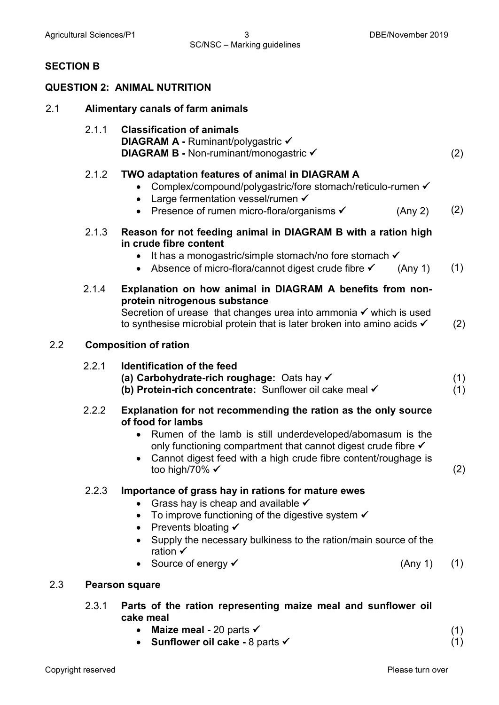#### **SECTION B**

#### **QUESTION 2: ANIMAL NUTRITION**

- 2.1 **Alimentary canals of farm animals**
	- 2.1.1 **Classification of animals DIAGRAM A - Ruminant/polygastric √ DIAGRAM B -** Non-ruminant/monogastric **✓** (2)

#### 2.1.2 **TWO adaptation features of animal in DIAGRAM A**

- Complex/compound/polygastric/fore stomach/reticulo-rumen  $\checkmark$
- Large fermentation vessel/rumen  $\checkmark$
- Presence of rumen micro-flora/organisms  $\checkmark$  (Any 2) (2)
- 2.1.3 **Reason for not feeding animal in DIAGRAM B with a ration high in crude fibre content**
	- It has a monogastric/simple stomach/no fore stomach  $\checkmark$
	- Absence of micro-flora/cannot digest crude fibre  $\checkmark$  (Any 1) (1)
- 2.1.4 **Explanation on how animal in DIAGRAM A benefits from nonprotein nitrogenous substance** Secretion of urease that changes urea into ammonia  $\checkmark$  which is used

to synthesise microbial protein that is later broken into amino acids  $\checkmark$  (2)

#### 2.2 **Composition of ration**

#### 2.2.1 **Identification of the feed (a) Carbohydrate-rich roughage:** Oats hay **(b) Protein-rich concentrate:** Sunflower oil cake meal (1) (1)

- 2.2.2 **Explanation for not recommending the ration as the only source of food for lambs**
	- Rumen of the lamb is still underdeveloped/abomasum is the only functioning compartment that cannot digest crude fibre  $\checkmark$
	- Cannot digest feed with a high crude fibre content/roughage is too high/70% (2)

#### 2.2.3 **Importance of grass hay in rations for mature ewes**

- Grass hay is cheap and available  $\checkmark$
- To improve functioning of the digestive system  $\checkmark$
- Prevents bloating  $\checkmark$
- Supply the necessary bulkiness to the ration/main source of the ration  $\checkmark$
- Source of energy  $\checkmark$  (Any 1) (1)

#### 2.3 **Pearson square**

- 2.3.1 **Parts of the ration representing maize meal and sunflower oil cake meal**
	- **Maize meal -** 20 parts (1)
	- **Sunflower oil cake -** 8 parts

(1)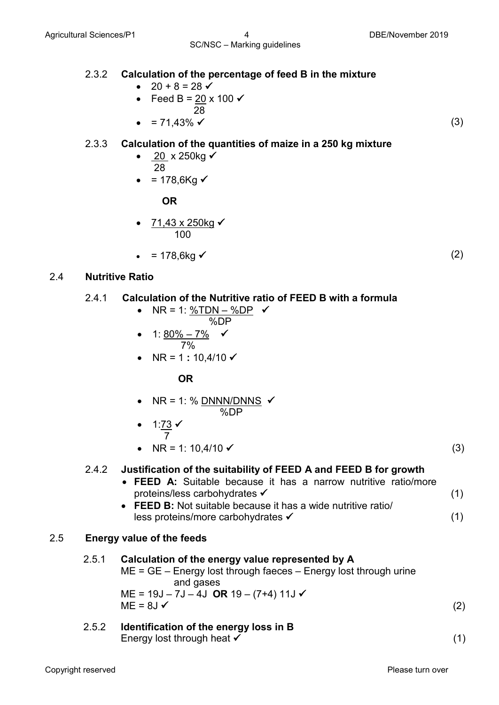- $20 + 8 = 28$
- Feed B =  $\frac{20}{28}$  x 100  $\checkmark$
- 28 •  $= 71.43\%$   $\checkmark$  (3)

#### 2.3.3 **Calculation of the quantities of maize in a 250 kg mixture**

- $20 \times 250$ kg  $\checkmark$ 28
- = 178,6Kg  $\checkmark$

 **OR**

- <u>71,43 x 250kg</u> ✔ 100 and 100
	- $= 178,6 \text{kg}$  (2)

#### 2.4 **Nutritive Ratio**

#### 2.4.1 **Calculation of the Nutritive ratio of FEED B with a formula**

- NR = 1: %TDN %DP %DP
- 1: <u>80% 7%</u>  $\checkmark$  7%
	- NR = 1 **:** 10,4/10

 **OR**

- NR = 1: % DNNN/DNNS %DP
- 1:<u>73</u>  $\checkmark$  7
	- $NR = 1: 10,4/10 \checkmark$  (3)

#### 2.4.2 **Justification of the suitability of FEED A and FEED B for growth**

• **FEED A:** Suitable because it has a narrow nutritive ratio/more proteins/less carbohydrates • **FEED B:** Not suitable because it has a wide nutritive ratio/ less proteins/more carbohydrates (1) (1)

#### 2.5 **Energy value of the feeds**

#### 2.5.1 **Calculation of the energy value represented by A**

- ME = GE Energy lost through faeces Energy lost through urine and gases ME = 19J – 7J – 4J **OR** 19 – (7+4) 11J  $ME = 8J \checkmark$  (2)
- 2.5.2 **Identification of the energy loss in B** Energy lost through heat  $\checkmark$  (1)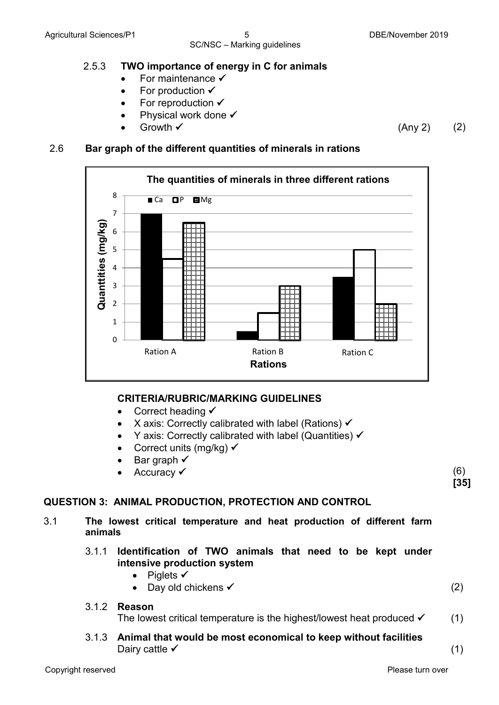#### 2.5.3 **TWO importance of energy in C for animals**

- For maintenance  $\checkmark$
- For production  $\checkmark$
- For reproduction  $\checkmark$
- Physical work done  $\checkmark$
- 

### • Growth  $\checkmark$  (Any 2) (2)

#### 2.6 **Bar graph of the different quantities of minerals in rations**



#### **CRITERIA/RUBRIC/MARKING GUIDELINES**

- Correct heading  $\checkmark$
- X axis: Correctly calibrated with label (Rations)  $\checkmark$
- Y axis: Correctly calibrated with label (Quantities)  $\checkmark$
- Correct units (mg/kg)  $\checkmark$
- Bar graph  $\checkmark$
- Accuracy  $\checkmark$  (6)

**[35]**

#### **QUESTION 3: ANIMAL PRODUCTION, PROTECTION AND CONTROL**

- 3.1 **The lowest critical temperature and heat production of different farm animals**
	- 3.1.1 **Identification of TWO animals that need to be kept under intensive production system**
		- Piglets  $\checkmark$
		- Day old chickens  $\checkmark$  (2)
	- 3.1.2 **Reason**

The lowest critical temperature is the highest/lowest heat produced  $\checkmark$  (1)

3.1.3 **Animal that would be most economical to keep without facilities** Dairy cattle  $\checkmark$  (1)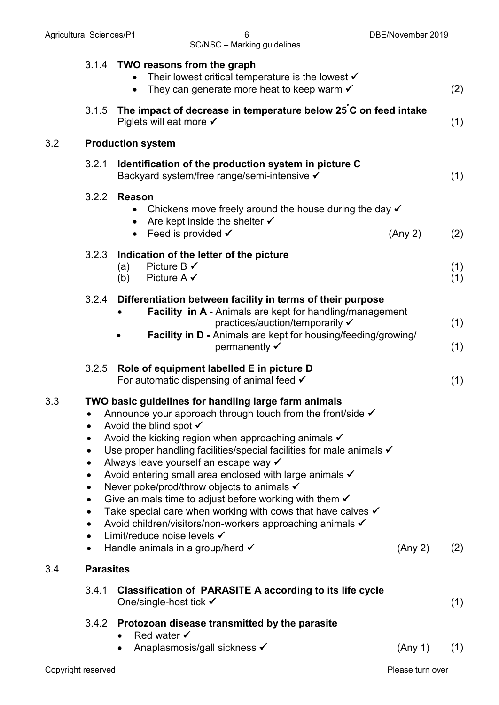### SC/NSC – Marking guidelines

|     |                                                                                                                   | 3.1.4 TWO reasons from the graph<br>Their lowest critical temperature is the lowest $\checkmark$<br>They can generate more heat to keep warm $\checkmark$                                                                                                                                                                                                                                                                                                                                                                                                                                                                                                                                                                                                           |         | (2)        |
|-----|-------------------------------------------------------------------------------------------------------------------|---------------------------------------------------------------------------------------------------------------------------------------------------------------------------------------------------------------------------------------------------------------------------------------------------------------------------------------------------------------------------------------------------------------------------------------------------------------------------------------------------------------------------------------------------------------------------------------------------------------------------------------------------------------------------------------------------------------------------------------------------------------------|---------|------------|
|     | 3.1.5                                                                                                             | The impact of decrease in temperature below 25°C on feed intake<br>Piglets will eat more $\checkmark$                                                                                                                                                                                                                                                                                                                                                                                                                                                                                                                                                                                                                                                               |         | (1)        |
| 3.2 |                                                                                                                   | <b>Production system</b>                                                                                                                                                                                                                                                                                                                                                                                                                                                                                                                                                                                                                                                                                                                                            |         |            |
|     | 3.2.1                                                                                                             | Identification of the production system in picture C<br>Backyard system/free range/semi-intensive √                                                                                                                                                                                                                                                                                                                                                                                                                                                                                                                                                                                                                                                                 |         | (1)        |
|     | 3.2.2                                                                                                             | <b>Reason</b><br>Chickens move freely around the house during the day $\checkmark$<br>Are kept inside the shelter $\checkmark$<br>$\bullet$<br>Feed is provided √<br>$\bullet$                                                                                                                                                                                                                                                                                                                                                                                                                                                                                                                                                                                      | (Any 2) | (2)        |
|     | 3.2.3                                                                                                             | Indication of the letter of the picture<br>Picture B $\checkmark$<br>(a)<br>Picture A $\checkmark$<br>(b)                                                                                                                                                                                                                                                                                                                                                                                                                                                                                                                                                                                                                                                           |         | (1)<br>(1) |
|     | 3.2.4                                                                                                             | Differentiation between facility in terms of their purpose<br>Facility in A - Animals are kept for handling/management<br>practices/auction/temporarily ✔<br>Facility in D - Animals are kept for housing/feeding/growing/<br>permanently $\checkmark$                                                                                                                                                                                                                                                                                                                                                                                                                                                                                                              |         | (1)<br>(1) |
|     | 3.2.5                                                                                                             | Role of equipment labelled E in picture D<br>For automatic dispensing of animal feed $\checkmark$                                                                                                                                                                                                                                                                                                                                                                                                                                                                                                                                                                                                                                                                   |         | (1)        |
| 3.3 | $\bullet$<br>$\bullet$<br>$\bullet$<br>$\bullet$<br>$\bullet$<br>$\bullet$<br>$\bullet$<br>$\bullet$<br>$\bullet$ | TWO basic guidelines for handling large farm animals<br>Announce your approach through touch from the front/side $\checkmark$<br>Avoid the blind spot $\checkmark$<br>Avoid the kicking region when approaching animals $\checkmark$<br>Use proper handling facilities/special facilities for male animals √<br>Always leave yourself an escape way v<br>Avoid entering small area enclosed with large animals √<br>Never poke/prod/throw objects to animals <del>√</del><br>Give animals time to adjust before working with them $\checkmark$<br>Take special care when working with cows that have calves $\checkmark$<br>Avoid children/visitors/non-workers approaching animals √<br>Limit/reduce noise levels √<br>Handle animals in a group/herd $\checkmark$ | (Any 2) | (2)        |
| 3.4 | <b>Parasites</b>                                                                                                  |                                                                                                                                                                                                                                                                                                                                                                                                                                                                                                                                                                                                                                                                                                                                                                     |         |            |
|     | 3.4.1                                                                                                             | <b>Classification of PARASITE A according to its life cycle</b><br>One/single-host tick $\checkmark$                                                                                                                                                                                                                                                                                                                                                                                                                                                                                                                                                                                                                                                                |         | (1)        |
|     |                                                                                                                   | 3.4.2 Protozoan disease transmitted by the parasite<br>Red water $\checkmark$<br>Anaplasmosis/gall sickness √                                                                                                                                                                                                                                                                                                                                                                                                                                                                                                                                                                                                                                                       | (Any 1) | (1)        |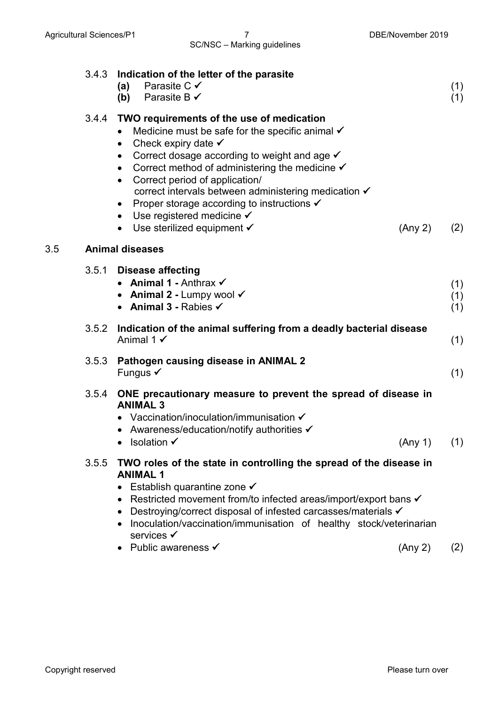3.5 **Animal diseases**

| 3.4.3 | Indication of the letter of the parasite<br>Parasite C $\checkmark$<br>(a)<br>(b) Parasite B $\checkmark$                                                                                                                                                                                                                                                                                                                                                                                                                                                                | (1)<br>(1)        |
|-------|--------------------------------------------------------------------------------------------------------------------------------------------------------------------------------------------------------------------------------------------------------------------------------------------------------------------------------------------------------------------------------------------------------------------------------------------------------------------------------------------------------------------------------------------------------------------------|-------------------|
| 3.4.4 | TWO requirements of the use of medication<br>Medicine must be safe for the specific animal $\checkmark$<br>Check expiry date $\checkmark$<br>$\bullet$<br>Correct dosage according to weight and age $\checkmark$<br>Correct method of administering the medicine $\checkmark$<br>$\bullet$<br>Correct period of application/<br>$\bullet$<br>correct intervals between administering medication ✔<br>Proper storage according to instructions $\checkmark$<br>$\bullet$<br>• Use registered medicine $\checkmark$<br>• Use sterilized equipment $\checkmark$<br>(Any 2) | (2)               |
|       | <b>Animal diseases</b>                                                                                                                                                                                                                                                                                                                                                                                                                                                                                                                                                   |                   |
| 3.5.1 | <b>Disease affecting</b><br>• Animal 1 - Anthrax $\checkmark$<br>• Animal 2 - Lumpy wool $\checkmark$<br>• Animal 3 - Rabies $\checkmark$                                                                                                                                                                                                                                                                                                                                                                                                                                | (1)<br>(1)<br>(1) |
| 3.5.2 | Indication of the animal suffering from a deadly bacterial disease<br>Animal 1 $\checkmark$                                                                                                                                                                                                                                                                                                                                                                                                                                                                              | (1)               |
| 3.5.3 | Pathogen causing disease in ANIMAL 2<br>Fungus $\checkmark$                                                                                                                                                                                                                                                                                                                                                                                                                                                                                                              | (1)               |
| 3.5.4 | ONE precautionary measure to prevent the spread of disease in<br><b>ANIMAL 3</b><br>Vaccination/inoculation/immunisation $\checkmark$<br>• Awareness/education/notify authorities $\checkmark$<br>(Any 1)<br><b>Isolation</b> <del>✓</del>                                                                                                                                                                                                                                                                                                                               | (1)               |
| 3.5.5 | TWO roles of the state in controlling the spread of the disease in<br><b>ANIMAL 1</b><br>Establish quarantine zone ✔<br>Restricted movement from/to infected areas/import/export bans √<br>Destroying/correct disposal of infested carcasses/materials ✔<br>Inoculation/vaccination/immunisation of healthy stock/veterinarian<br>services <del>√</del>                                                                                                                                                                                                                  |                   |

• Public awareness  $\checkmark$  (Any 2) (2)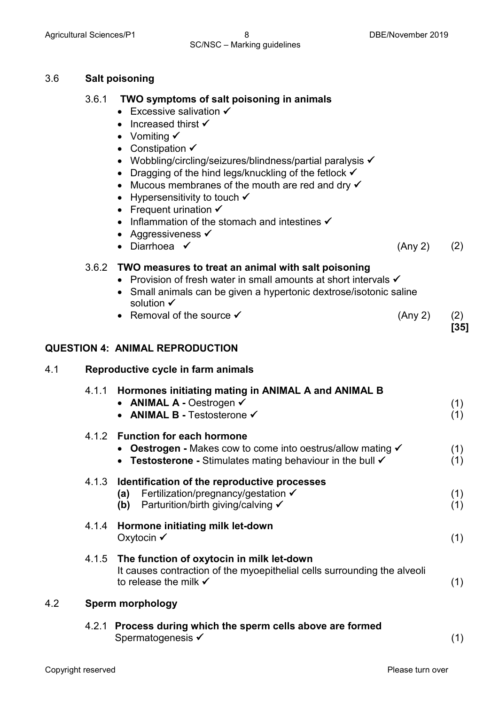#### SC/NSC – Marking guidelines

| 3.6 | <b>Salt poisoning</b> |
|-----|-----------------------|
|-----|-----------------------|

#### 3.6.1 **TWO symptoms of salt poisoning in animals**

- $\bullet$  Excessive salivation  $\checkmark$
- Increased thirst  $\checkmark$
- Vomiting  $\checkmark$
- Constipation  $\checkmark$
- Wobbling/circling/seizures/blindness/partial paralysis  $\checkmark$
- Dragging of the hind legs/knuckling of the fetlock  $\checkmark$
- Mucous membranes of the mouth are red and dry  $\checkmark$
- Hypersensitivity to touch  $\checkmark$
- Frequent urination  $\checkmark$
- Inflammation of the stomach and intestines  $\checkmark$
- Aggressiveness  $\checkmark$
- Diarrhoea  $\checkmark$  (Any 2) (2)

3.6.2 **TWO measures to treat an animal with salt poisoning**

- Provision of fresh water in small amounts at short intervals  $\checkmark$
- Small animals can be given a hypertonic dextrose/isotonic saline solution  $\checkmark$
- Removal of the source  $\checkmark$  (Any 2) (2)

**[35]**

#### **QUESTION 4: ANIMAL REPRODUCTION**

| 4.1 |       | Reproductive cycle in farm animals                                                                                                                                      |            |  |  |
|-----|-------|-------------------------------------------------------------------------------------------------------------------------------------------------------------------------|------------|--|--|
|     | 4.1.1 | Hormones initiating mating in ANIMAL A and ANIMAL B<br>• ANIMAL A - Oestrogen $\checkmark$<br><b>ANIMAL B - Testosterone √</b>                                          | (1)<br>(1) |  |  |
|     |       | 4.1.2 Function for each hormone<br>• Oestrogen - Makes cow to come into oestrus/allow mating v<br>• Testosterone - Stimulates mating behaviour in the bull $\checkmark$ | (1)<br>(1) |  |  |
|     | 4.1.3 | Identification of the reproductive processes<br>Fertilization/pregnancy/gestation $\checkmark$<br>(a)<br>Parturition/birth giving/calving ✔<br>(b)                      | (1)<br>(1) |  |  |
|     | 4.1.4 | Hormone initiating milk let-down<br>Oxytocin ✔                                                                                                                          | (1)        |  |  |
|     |       | 4.1.5 The function of oxytocin in milk let-down<br>It causes contraction of the myoepithelial cells surrounding the alveoli<br>to release the milk $\checkmark$         | (1)        |  |  |
| 4.2 |       | <b>Sperm morphology</b>                                                                                                                                                 |            |  |  |
|     |       | $\Lambda$ 2.1. Process during which the snorm colls above are formed                                                                                                    |            |  |  |

4.2.1 **Process during which the sperm cells above are formed** Spermatogenesis  $\checkmark$  (1)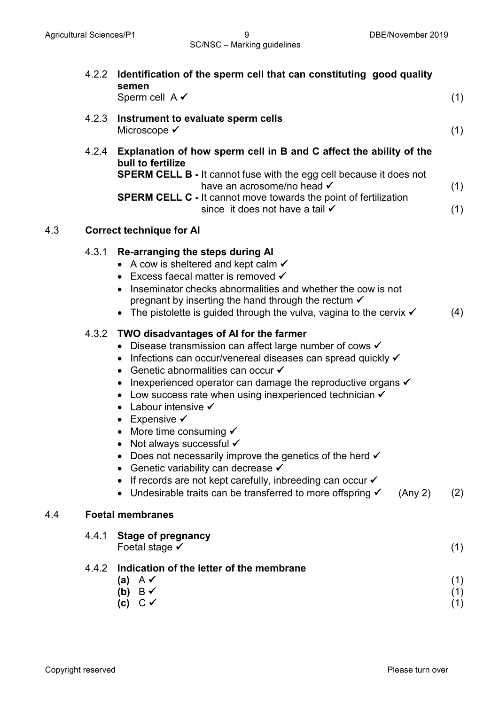|     | 4.2.2 | Identification of the sperm cell that can constituting good quality<br>semen<br>Sperm cell $A \checkmark$                                                                                                                                                                                                                                                                                                                                                                                                                                                                                                                                                                                                                                                            | (1)               |
|-----|-------|----------------------------------------------------------------------------------------------------------------------------------------------------------------------------------------------------------------------------------------------------------------------------------------------------------------------------------------------------------------------------------------------------------------------------------------------------------------------------------------------------------------------------------------------------------------------------------------------------------------------------------------------------------------------------------------------------------------------------------------------------------------------|-------------------|
|     | 4.2.3 | Instrument to evaluate sperm cells<br>Microscope ✔                                                                                                                                                                                                                                                                                                                                                                                                                                                                                                                                                                                                                                                                                                                   | (1)               |
|     | 4.2.4 | Explanation of how sperm cell in B and C affect the ability of the<br>bull to fertilize<br><b>SPERM CELL B - It cannot fuse with the egg cell because it does not</b><br>have an acrosome/no head √<br><b>SPERM CELL C</b> - It cannot move towards the point of fertilization<br>since it does not have a tail √                                                                                                                                                                                                                                                                                                                                                                                                                                                    | (1)<br>(1)        |
| 4.3 |       | <b>Correct technique for AI</b>                                                                                                                                                                                                                                                                                                                                                                                                                                                                                                                                                                                                                                                                                                                                      |                   |
|     | 4.3.1 | Re-arranging the steps during AI<br>• A cow is sheltered and kept calm $\checkmark$<br>• Excess faecal matter is removed $\checkmark$<br>• Inseminator checks abnormalities and whether the cow is not<br>pregnant by inserting the hand through the rectum $\checkmark$<br>• The pistolette is guided through the vulva, vagina to the cervix $\checkmark$                                                                                                                                                                                                                                                                                                                                                                                                          | (4)               |
|     | 4.3.2 | TWO disadvantages of AI for the farmer<br>• Disease transmission can affect large number of cows $\checkmark$<br>• Infections can occur/venereal diseases can spread quickly v<br>• Genetic abnormalities can occur $\checkmark$<br>• Inexperienced operator can damage the reproductive organs v<br>• Low success rate when using inexperienced technician $\checkmark$<br>• Labour intensive $\checkmark$<br>• Expensive $\checkmark$<br>• More time consuming $\checkmark$<br>Not always successful √<br>Does not necessarily improve the genetics of the herd $\checkmark$<br>Genetic variability can decrease $\checkmark$<br>If records are not kept carefully, inbreeding can occur ✔<br>Undesirable traits can be transferred to more offspring √<br>(Any 2) | (2)               |
| 4.4 |       | <b>Foetal membranes</b>                                                                                                                                                                                                                                                                                                                                                                                                                                                                                                                                                                                                                                                                                                                                              |                   |
|     | 4.4.1 | <b>Stage of pregnancy</b><br>Foetal stage $\checkmark$                                                                                                                                                                                                                                                                                                                                                                                                                                                                                                                                                                                                                                                                                                               | (1)               |
|     | 4.4.2 | Indication of the letter of the membrane<br>$A \vee$<br>(a)<br>(b) $B \checkmark$<br>$C \curvearrowleft$<br>(c)                                                                                                                                                                                                                                                                                                                                                                                                                                                                                                                                                                                                                                                      | (1)<br>(1)<br>(1) |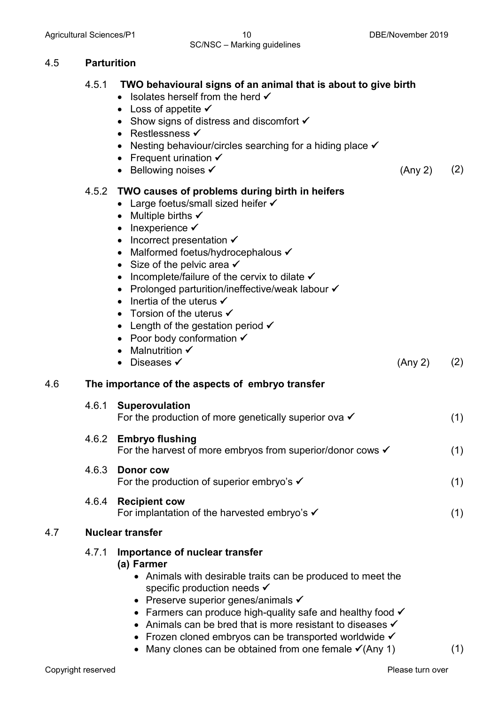#### Agricultural Sciences/P1 10 10 10 DBE/November 2019 SC/NSC – Marking guidelines

#### 4.5 **Parturition**

|  | 4.5.1 TWO behavioural signs of an animal that is about to give birth |  |
|--|----------------------------------------------------------------------|--|
|--|----------------------------------------------------------------------|--|

- Isolates herself from the herd  $\checkmark$
- Loss of appetite  $\checkmark$
- Show signs of distress and discomfort  $\checkmark$
- Restlessness  $\checkmark$
- Nesting behaviour/circles searching for a hiding place
- Frequent urination  $\checkmark$
- Bellowing noises  $\checkmark$  (Any 2) (2)

#### 4.5.2 **TWO causes of problems during birth in heifers**

- Large foetus/small sized heifer  $\checkmark$
- Multiple births  $\checkmark$
- $\bullet$  Inexperience  $\checkmark$
- Incorrect presentation  $\checkmark$
- Malformed foetus/hydrocephalous  $\checkmark$
- Size of the pelvic area  $\checkmark$
- Incomplete/failure of the cervix to dilate  $\checkmark$
- Prolonged parturition/ineffective/weak labour  $\checkmark$
- Inertia of the uterus  $\checkmark$
- Torsion of the uterus  $\checkmark$
- Length of the gestation period  $\checkmark$
- Poor body conformation  $\checkmark$
- Malnutrition  $\checkmark$
- Diseases  $\checkmark$  (Any 2) (2)

#### 4.6 **The importance of the aspects of embryo transfer**

| 4.6.1 | <b>Superovulation</b><br>For the production of more genetically superior ova $\checkmark$      |     |
|-------|------------------------------------------------------------------------------------------------|-----|
|       | 4.6.2 Embryo flushing<br>For the harvest of more embryos from superior/donor cows $\checkmark$ | (1) |
| 4.6.3 | Donor cow<br>For the production of superior embryo's $\checkmark$                              |     |

## For implantation of the harvested embryo's  $\checkmark$  (1)

4.6.4 **Recipient cow** 

#### 4.7 **Nuclear transfer**

- 4.7.1 **Importance of nuclear transfer (a) Farmer**
	- Animals with desirable traits can be produced to meet the specific production needs <del>✓</del>
	- Preserve superior genes/animals  $\checkmark$
	- Farmers can produce high-quality safe and healthy food  $\checkmark$
	- Animals can be bred that is more resistant to diseases  $\checkmark$
	- Frozen cloned embryos can be transported worldwide  $\checkmark$
	- Many clones can be obtained from one female  $\checkmark$  (Any 1) (1)